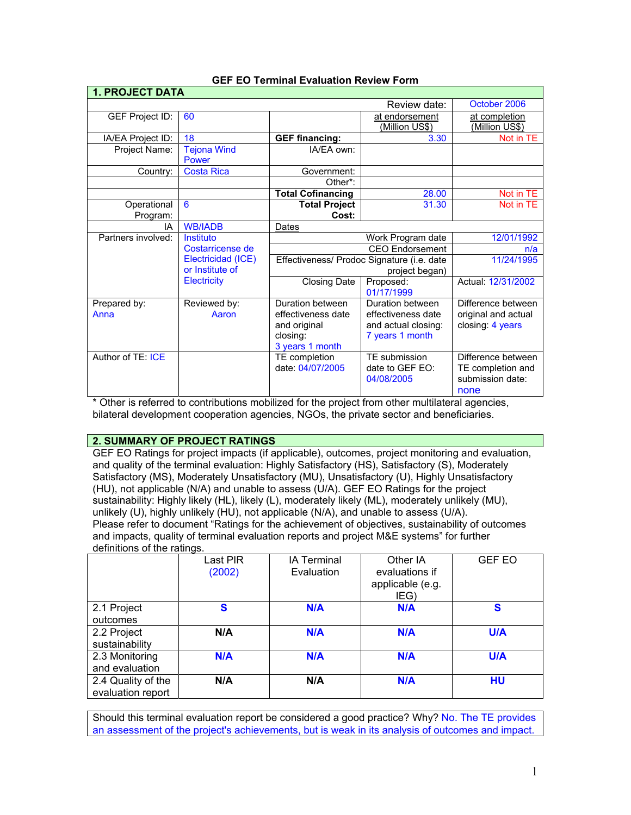| <b>1. PROJECT DATA</b>       |                    |                                            |                       |                     |
|------------------------------|--------------------|--------------------------------------------|-----------------------|---------------------|
| October 2006<br>Review date: |                    |                                            |                       |                     |
| GEF Project ID:              | 60                 |                                            | at endorsement        | at completion       |
|                              |                    |                                            | <u>(Million US\$)</u> | (Million US\$)      |
| IA/EA Project ID:            | 18                 | <b>GEF financing:</b>                      | 3.30                  | Not in TE           |
| Project Name:                | <b>Tejona Wind</b> | IA/FA own:                                 |                       |                     |
|                              | Power              |                                            |                       |                     |
| Country:                     | <b>Costa Rica</b>  | Government:                                |                       |                     |
|                              |                    | Other*:                                    |                       |                     |
|                              |                    | <b>Total Cofinancing</b>                   | 28.00                 | Not in TE           |
| Operational                  | 6                  | <b>Total Project</b>                       | 31.30                 | Not in TE           |
| Program:                     |                    | Cost:                                      |                       |                     |
| IA                           | <b>WB/IADB</b>     | Dates                                      |                       |                     |
| Partners involved:           | Instituto          |                                            | Work Program date     | 12/01/1992          |
|                              | Costarricense de   | <b>CEO Endorsement</b>                     |                       | n/a                 |
|                              | Electricidad (ICE) | Effectiveness/ Prodoc Signature (i.e. date |                       | 11/24/1995          |
|                              | or Institute of    | project began)                             |                       |                     |
|                              | <b>Electricity</b> | <b>Closing Date</b>                        | Proposed:             | Actual: 12/31/2002  |
|                              |                    |                                            | 01/17/1999            |                     |
| Prepared by:                 | Reviewed by:       | Duration between                           | Duration between      | Difference between  |
| Anna                         | Aaron              | effectiveness date                         | effectiveness date    | original and actual |
|                              |                    | and original                               | and actual closing:   | closing: 4 years    |
|                              |                    | closing:                                   | 7 years 1 month       |                     |
|                              |                    | 3 years 1 month                            |                       |                     |
| Author of TE: ICE            |                    | TE completion                              | TE submission         | Difference between  |
|                              |                    | date: 04/07/2005                           | date to GEF EO:       | TE completion and   |
|                              |                    |                                            | 04/08/2005            | submission date:    |
|                              |                    |                                            |                       | none                |

### **GEF EO Terminal Evaluation Review Form**

\* Other is referred to contributions mobilized for the project from other multilateral agencies, bilateral development cooperation agencies, NGOs, the private sector and beneficiaries.

#### **2. SUMMARY OF PROJECT RATINGS**

GEF EO Ratings for project impacts (if applicable), outcomes, project monitoring and evaluation, and quality of the terminal evaluation: Highly Satisfactory (HS), Satisfactory (S), Moderately Satisfactory (MS), Moderately Unsatisfactory (MU), Unsatisfactory (U), Highly Unsatisfactory (HU), not applicable (N/A) and unable to assess (U/A). GEF EO Ratings for the project sustainability: Highly likely (HL), likely (L), moderately likely (ML), moderately unlikely (MU), unlikely (U), highly unlikely (HU), not applicable (N/A), and unable to assess (U/A). Please refer to document "Ratings for the achievement of objectives, sustainability of outcomes and impacts, quality of terminal evaluation reports and project M&E systems" for further definitions of the ratings.

|                                         | Last PIR<br>(2002) | <b>IA Terminal</b><br>Evaluation | Other IA<br>evaluations if<br>applicable (e.g.<br>IEG) | <b>GEF EO</b> |
|-----------------------------------------|--------------------|----------------------------------|--------------------------------------------------------|---------------|
| 2.1 Project<br>outcomes                 | S                  | N/A                              | N/A                                                    | S             |
| 2.2 Project<br>sustainability           | N/A                | N/A                              | N/A                                                    | <b>U/A</b>    |
| 2.3 Monitoring<br>and evaluation        | N/A                | N/A                              | N/A                                                    | <b>U/A</b>    |
| 2.4 Quality of the<br>evaluation report | N/A                | N/A                              | <b>N/A</b>                                             | HU            |

Should this terminal evaluation report be considered a good practice? Why? No. The TE provides an assessment of the project's achievements, but is weak in its analysis of outcomes and impact.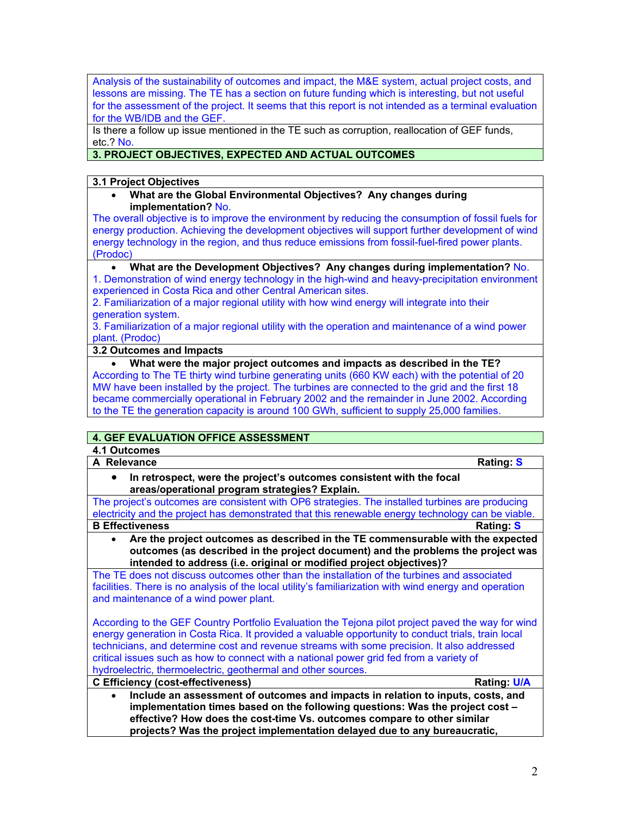Analysis of the sustainability of outcomes and impact, the M&E system, actual project costs, and lessons are missing. The TE has a section on future funding which is interesting, but not useful for the assessment of the project. It seems that this report is not intended as a terminal evaluation for the WB/IDB and the GEF.

Is there a follow up issue mentioned in the TE such as corruption, reallocation of GEF funds, etc.? No.

# **3. PROJECT OBJECTIVES, EXPECTED AND ACTUAL OUTCOMES**

### **3.1 Project Objectives**

• **What are the Global Environmental Objectives? Any changes during implementation?** No.

The overall objective is to improve the environment by reducing the consumption of fossil fuels for energy production. Achieving the development objectives will support further development of wind energy technology in the region, and thus reduce emissions from fossil-fuel-fired power plants. (Prodoc)

### • **What are the Development Objectives? Any changes during implementation?** No.

1. Demonstration of wind energy technology in the high-wind and heavy-precipitation environment experienced in Costa Rica and other Central American sites.

2. Familiarization of a major regional utility with how wind energy will integrate into their generation system.

3. Familiarization of a major regional utility with the operation and maintenance of a wind power plant. (Prodoc)

### **3.2 Outcomes and Impacts**

• **What were the major project outcomes and impacts as described in the TE?** According to The TE thirty wind turbine generating units (660 KW each) with the potential of 20 MW have been installed by the project. The turbines are connected to the grid and the first 18 became commercially operational in February 2002 and the remainder in June 2002. According to the TE the generation capacity is around 100 GWh, sufficient to supply 25,000 families.

# **4. GEF EVALUATION OFFICE ASSESSMENT**

# **4.1 Outcomes**

**A Relevance Rating: S**

• **In retrospect, were the project's outcomes consistent with the focal areas/operational program strategies? Explain.**

The project's outcomes are consistent with OP6 strategies. The installed turbines are producing electricity and the project has demonstrated that this renewable energy technology can be viable. **B** Effectiveness Rating: S

• **Are the project outcomes as described in the TE commensurable with the expected outcomes (as described in the project document) and the problems the project was intended to address (i.e. original or modified project objectives)?**

The TE does not discuss outcomes other than the installation of the turbines and associated facilities. There is no analysis of the local utility's familiarization with wind energy and operation and maintenance of a wind power plant.

According to the GEF Country Portfolio Evaluation the Tejona pilot project paved the way for wind energy generation in Costa Rica. It provided a valuable opportunity to conduct trials, train local technicians, and determine cost and revenue streams with some precision. It also addressed critical issues such as how to connect with a national power grid fed from a variety of hydroelectric, thermoelectric, geothermal and other sources.

**C Efficiency (cost-effectiveness) Rating: U/A** • **Include an assessment of outcomes and impacts in relation to inputs, costs, and implementation times based on the following questions: Was the project cost – effective? How does the cost-time Vs. outcomes compare to other similar projects? Was the project implementation delayed due to any bureaucratic,**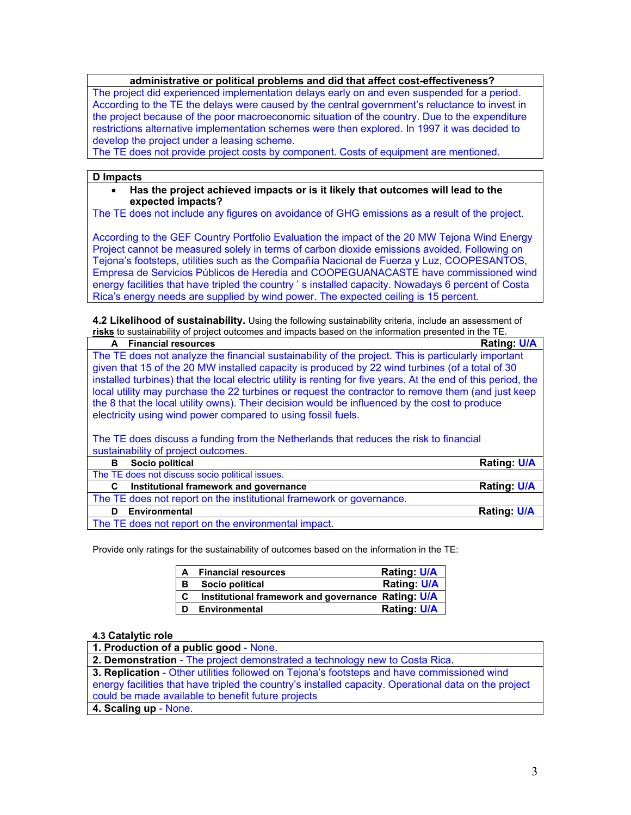### **administrative or political problems and did that affect cost-effectiveness?**

The project did experienced implementation delays early on and even suspended for a period. According to the TE the delays were caused by the central government's reluctance to invest in the project because of the poor macroeconomic situation of the country. Due to the expenditure restrictions alternative implementation schemes were then explored. In 1997 it was decided to develop the project under a leasing scheme.

The TE does not provide project costs by component. Costs of equipment are mentioned.

#### **D Impacts**

• **Has the project achieved impacts or is it likely that outcomes will lead to the expected impacts?**

The TE does not include any figures on avoidance of GHG emissions as a result of the project.

According to the GEF Country Portfolio Evaluation the impact of the 20 MW Tejona Wind Energy Project cannot be measured solely in terms of carbon dioxide emissions avoided. Following on Tejona's footsteps, utilities such as the Compañía Nacional de Fuerza y Luz, COOPESANTOS, Empresa de Servicios Públicos de Heredia and COOPEGUANACASTE have commissioned wind energy facilities that have tripled the country ' s installed capacity. Nowadays 6 percent of Costa Rica's energy needs are supplied by wind power. The expected ceiling is 15 percent.

**4.2 Likelihood of sustainability.** Using the following sustainability criteria, include an assessment of **risks** to sustainability of project outcomes and impacts based on the information presented in the TE.

| <b>Financial resources</b><br>A                                                                                 | <b>Rating: U/A</b> |  |
|-----------------------------------------------------------------------------------------------------------------|--------------------|--|
| The TE does not analyze the financial sustainability of the project. This is particularly important             |                    |  |
| given that 15 of the 20 MW installed capacity is produced by 22 wind turbines (of a total of 30                 |                    |  |
| installed turbines) that the local electric utility is renting for five years. At the end of this period, the   |                    |  |
| local utility may purchase the 22 turbines or request the contractor to remove them (and just keep              |                    |  |
| the 8 that the local utility owns). Their decision would be influenced by the cost to produce                   |                    |  |
| electricity using wind power compared to using fossil fuels.                                                    |                    |  |
|                                                                                                                 |                    |  |
| The TE does discuss a funding from the Netherlands that reduces the risk to financial                           |                    |  |
| sustainability of project outcomes.                                                                             |                    |  |
| Socio political<br>в                                                                                            | <b>Rating: U/A</b> |  |
| The TE does not discuss socio political issues.                                                                 |                    |  |
| Institutional framework and governance<br>C                                                                     | <b>Rating: U/A</b> |  |
| The TE does not report on the institutional framework or governance.                                            |                    |  |
| <b>Environmental</b><br>D                                                                                       | <b>Rating: U/A</b> |  |
| the contract of the contract of the contract of the contract of the contract of the contract of the contract of |                    |  |

The TE does not report on the environmental impact.

Provide only ratings for the sustainability of outcomes based on the information in the TE:

| A | <b>Financial resources</b>                         | Rating: U/A        |
|---|----------------------------------------------------|--------------------|
| в | Socio political                                    | <b>Rating: U/A</b> |
| C | Institutional framework and governance Rating: U/A |                    |
|   | Environmental                                      | <b>Rating U/A</b>  |

#### **4.3 Catalytic role**

| 1. Production of a public good - None.                                                                |
|-------------------------------------------------------------------------------------------------------|
| 2. Demonstration - The project demonstrated a technology new to Costa Rica.                           |
| 3. Replication - Other utilities followed on Tejona's footsteps and have commissioned wind            |
| energy facilities that have tripled the country's installed capacity. Operational data on the project |
| could be made available to benefit future projects                                                    |
| 4. Scaling up - None.                                                                                 |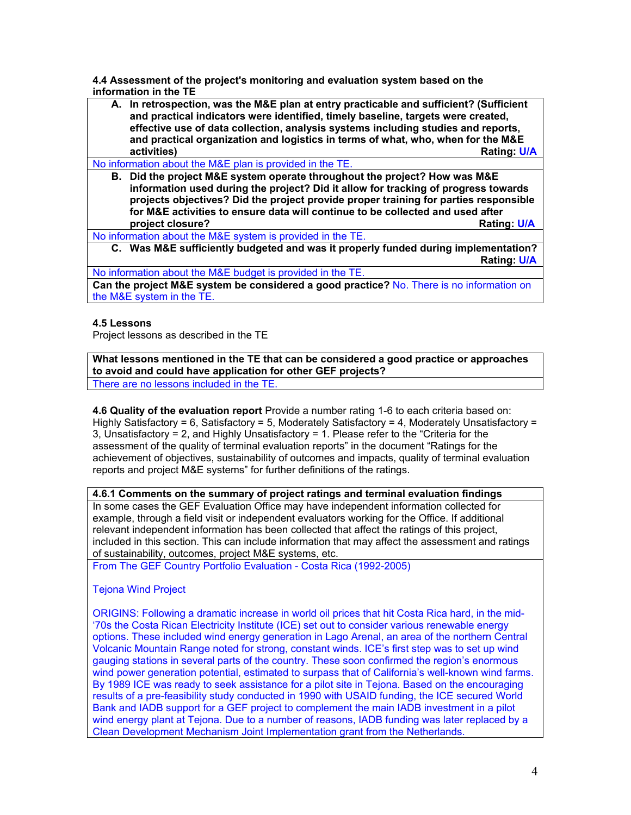**4.4 Assessment of the project's monitoring and evaluation system based on the information in the TE** 

**A. In retrospection, was the M&E plan at entry practicable and sufficient? (Sufficient and practical indicators were identified, timely baseline, targets were created, effective use of data collection, analysis systems including studies and reports, and practical organization and logistics in terms of what, who, when for the M&E Rating: U/A** 

No information about the M&E plan is provided in the TE.

**B. Did the project M&E system operate throughout the project? How was M&E information used during the project? Did it allow for tracking of progress towards projects objectives? Did the project provide proper training for parties responsible for M&E activities to ensure data will continue to be collected and used after project closure? Rating: U/A**

No information about the M&E system is provided in the TE.

**C. Was M&E sufficiently budgeted and was it properly funded during implementation? Rating: U/A**

No information about the M&E budget is provided in the TE.

**Can the project M&E system be considered a good practice?** No. There is no information on the M&E system in the TE.

## **4.5 Lessons**

Project lessons as described in the TE

**What lessons mentioned in the TE that can be considered a good practice or approaches to avoid and could have application for other GEF projects?** There are no lessons included in the TE.

**4.6 Quality of the evaluation report** Provide a number rating 1-6 to each criteria based on: Highly Satisfactory = 6, Satisfactory = 5, Moderately Satisfactory = 4, Moderately Unsatisfactory = 3, Unsatisfactory = 2, and Highly Unsatisfactory = 1. Please refer to the "Criteria for the assessment of the quality of terminal evaluation reports" in the document "Ratings for the achievement of objectives, sustainability of outcomes and impacts, quality of terminal evaluation reports and project M&E systems" for further definitions of the ratings.

**4.6.1 Comments on the summary of project ratings and terminal evaluation findings** In some cases the GEF Evaluation Office may have independent information collected for

example, through a field visit or independent evaluators working for the Office. If additional relevant independent information has been collected that affect the ratings of this project, included in this section. This can include information that may affect the assessment and ratings of sustainability, outcomes, project M&E systems, etc.

From The GEF Country Portfolio Evaluation - Costa Rica (1992-2005)

Tejona Wind Project

ORIGINS: Following a dramatic increase in world oil prices that hit Costa Rica hard, in the mid- '70s the Costa Rican Electricity Institute (ICE) set out to consider various renewable energy options. These included wind energy generation in Lago Arenal, an area of the northern Central Volcanic Mountain Range noted for strong, constant winds. ICE's first step was to set up wind gauging stations in several parts of the country. These soon confirmed the region's enormous wind power generation potential, estimated to surpass that of California's well-known wind farms. By 1989 ICE was ready to seek assistance for a pilot site in Tejona. Based on the encouraging results of a pre-feasibility study conducted in 1990 with USAID funding, the ICE secured World Bank and IADB support for a GEF project to complement the main IADB investment in a pilot wind energy plant at Tejona. Due to a number of reasons, IADB funding was later replaced by a Clean Development Mechanism Joint Implementation grant from the Netherlands.